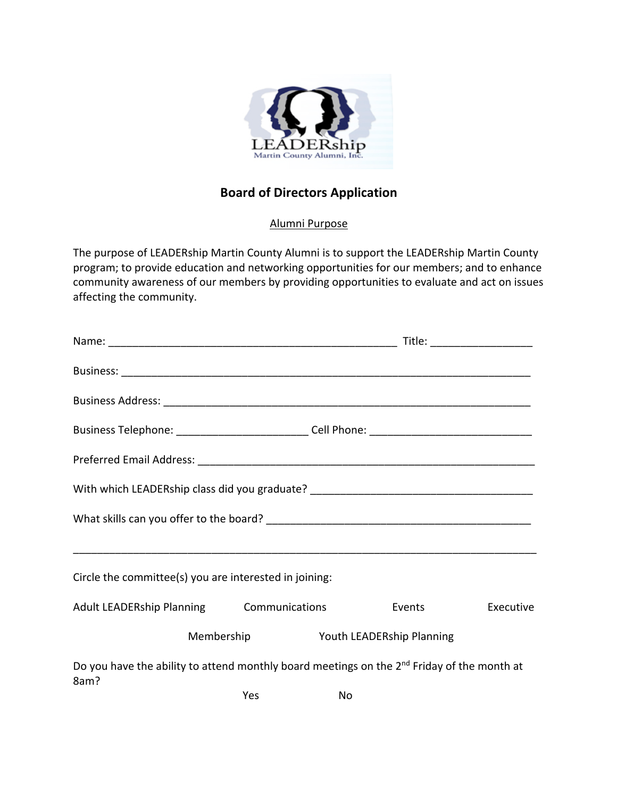

## **Board of Directors Application**

## Alumni Purpose

The purpose of LEADERship Martin County Alumni is to support the LEADERship Martin County program; to provide education and networking opportunities for our members; and to enhance community awareness of our members by providing opportunities to evaluate and act on issues affecting the community.

| Business Telephone: ____________________________Cell Phone: _____________________                              |            |    |                           |           |  |
|----------------------------------------------------------------------------------------------------------------|------------|----|---------------------------|-----------|--|
|                                                                                                                |            |    |                           |           |  |
| With which LEADERship class did you graduate? __________________________________                               |            |    |                           |           |  |
|                                                                                                                |            |    |                           |           |  |
|                                                                                                                |            |    |                           |           |  |
| Circle the committee(s) you are interested in joining:                                                         |            |    |                           |           |  |
| <b>Adult LEADERship Planning Communications</b>                                                                |            |    | <b>Events</b>             | Executive |  |
|                                                                                                                | Membership |    | Youth LEADERship Planning |           |  |
| Do you have the ability to attend monthly board meetings on the 2 <sup>nd</sup> Friday of the month at<br>8am? |            |    |                           |           |  |
|                                                                                                                | Yes        | No |                           |           |  |